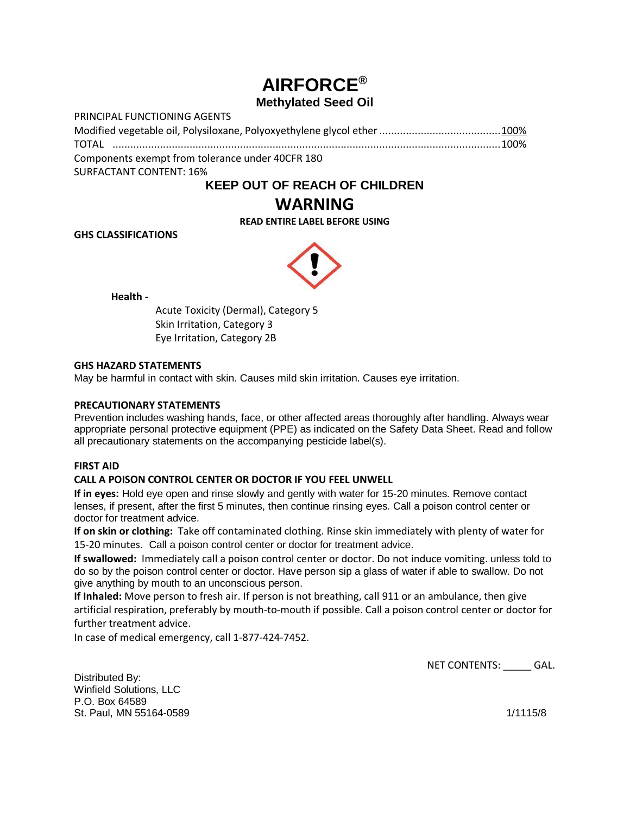# **AIRFORCE® Methylated Seed Oil**

| PRINCIPAL FUNCTIONING AGENTS                     |  |
|--------------------------------------------------|--|
|                                                  |  |
|                                                  |  |
| Components exempt from tolerance under 40CFR 180 |  |
| <b>SURFACTANT CONTENT: 16%</b>                   |  |

## **KEEP OUT OF REACH OF CHILDREN**

## **WARNING**

**READ ENTIRE LABEL BEFORE USING**

**GHS CLASSIFICATIONS**



**Health -**

Acute Toxicity (Dermal), Category 5 Skin Irritation, Category 3 Eye Irritation, Category 2B

## **GHS HAZARD STATEMENTS**

May be harmful in contact with skin. Causes mild skin irritation. Causes eye irritation.

## **PRECAUTIONARY STATEMENTS**

Prevention includes washing hands, face, or other affected areas thoroughly after handling. Always wear appropriate personal protective equipment (PPE) as indicated on the Safety Data Sheet. Read and follow all precautionary statements on the accompanying pesticide label(s).

### **FIRST AID**

### **CALL A POISON CONTROL CENTER OR DOCTOR IF YOU FEEL UNWELL**

**If in eyes:** Hold eye open and rinse slowly and gently with water for 15-20 minutes. Remove contact lenses, if present, after the first 5 minutes, then continue rinsing eyes. Call a poison control center or doctor for treatment advice.

**If on skin or clothing:** Take off contaminated clothing. Rinse skin immediately with plenty of water for 15-20 minutes. Call a poison control center or doctor for treatment advice.

**If swallowed:** Immediately call a poison control center or doctor. Do not induce vomiting. unless told to do so by the poison control center or doctor. Have person sip a glass of water if able to swallow. Do not give anything by mouth to an unconscious person.

**If Inhaled:** Move person to fresh air. If person is not breathing, call 911 or an ambulance, then give artificial respiration, preferably by mouth-to-mouth if possible. Call a poison control center or doctor for further treatment advice.

In case of medical emergency, call 1-877-424-7452.

Distributed By: Winfield Solutions, LLC P.O. Box 64589 St. Paul, MN 55164-0589 1/1115/8

NET CONTENTS: \_\_\_\_\_ GAL.